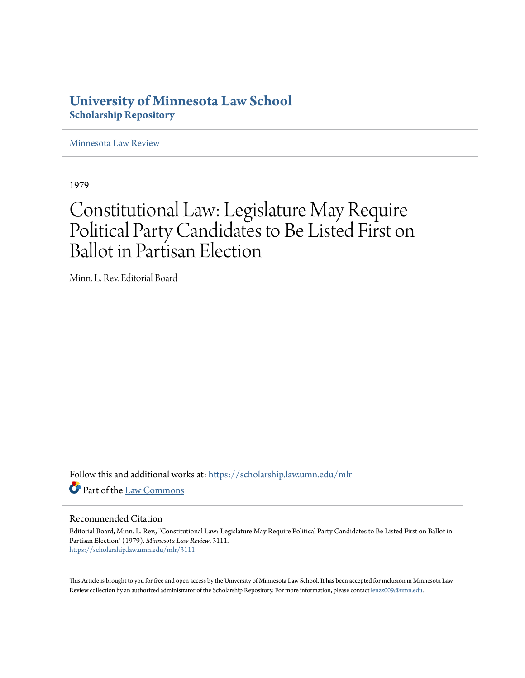## **University of Minnesota Law School [Scholarship Repository](https://scholarship.law.umn.edu?utm_source=scholarship.law.umn.edu%2Fmlr%2F3111&utm_medium=PDF&utm_campaign=PDFCoverPages)**

[Minnesota Law Review](https://scholarship.law.umn.edu/mlr?utm_source=scholarship.law.umn.edu%2Fmlr%2F3111&utm_medium=PDF&utm_campaign=PDFCoverPages)

1979

## Constitutional Law: Legislature May Require Political Party Candidates to Be Listed First on Ballot in Partisan Election

Minn. L. Rev. Editorial Board

Follow this and additional works at: [https://scholarship.law.umn.edu/mlr](https://scholarship.law.umn.edu/mlr?utm_source=scholarship.law.umn.edu%2Fmlr%2F3111&utm_medium=PDF&utm_campaign=PDFCoverPages) Part of the [Law Commons](http://network.bepress.com/hgg/discipline/578?utm_source=scholarship.law.umn.edu%2Fmlr%2F3111&utm_medium=PDF&utm_campaign=PDFCoverPages)

## Recommended Citation

Editorial Board, Minn. L. Rev., "Constitutional Law: Legislature May Require Political Party Candidates to Be Listed First on Ballot in Partisan Election" (1979). *Minnesota Law Review*. 3111. [https://scholarship.law.umn.edu/mlr/3111](https://scholarship.law.umn.edu/mlr/3111?utm_source=scholarship.law.umn.edu%2Fmlr%2F3111&utm_medium=PDF&utm_campaign=PDFCoverPages)

This Article is brought to you for free and open access by the University of Minnesota Law School. It has been accepted for inclusion in Minnesota Law Review collection by an authorized administrator of the Scholarship Repository. For more information, please contact [lenzx009@umn.edu.](mailto:lenzx009@umn.edu)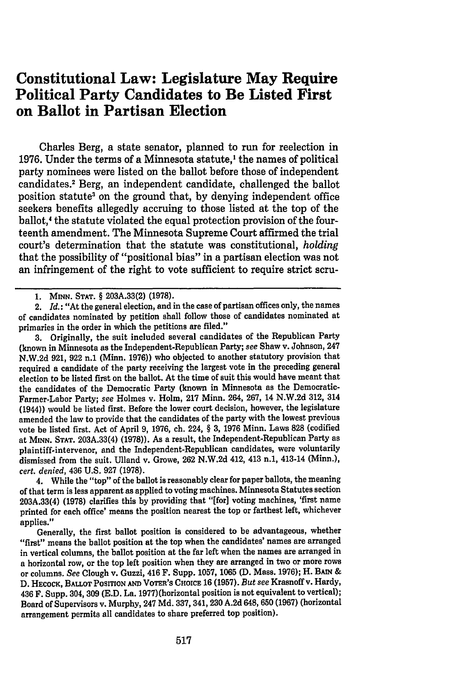## **Constitutional Law: Legislature May Require Political Party Candidates to Be Listed First on Ballot in Partisan Election**

Charles Berg, a state senator, planned to run for reelection in **1976.** Under the terms of a Minnesota statute,' the names of political party nominees were listed on the ballot before those of independent candidates.' Berg, an independent candidate, challenged the ballot position statute3 on the ground that, **by** denying independent office seekers benefits allegedly accruing to those listed at the top of the ballot,' the statute violated the equal protection provision of the fourteenth amendment. The Minnesota Supreme Court affirmed the trial court's determination that the statute was constitutional, *holding* that the possibility of "positional bias" in a partisan election was not an infringement of the right to vote sufficient to require strict scru-

2. *Id.:* "At the general election, and in the case of partisan offices only, the names of candidates nominated **by** petition shall follow those of candidates nominated at primaries in the order in which the petitions are filed."

**3.** Originally, the suit included several candidates of the Republican Party (known in Minnesota as the Independent-Republican Party; see Shaw v. Johnson, 247 **N.W.2d 921, 922** n.1 (Minn. **1976))** who objected to another statutory provision that required a candidate of the party receiving the largest vote in the preceding general election to be listed first on the ballot. At the time of suit this would have meant that the candidates **of** the Democratic Party (known in Minnesota as the Democratic-Farmer-Labor Party; see Holmes v. Holm, **217** Minn. 264, **267,** 14 **N.W.2d 312,** 314 **(1944))** would be listed first. Before the lower court decision, however, the legislature amended the law to provide that the candidates of the party with the lowest previous vote be listed first. Act of April **9, 1976,** ch. 224, § **3, 1976** Minn. Laws **828** (codified at **MINN. STAT. 203A.33(4) (1978)).** As a result, the Independent-Republican Party as plaintiff-intervenor, and the Independent-Republican candidates, were voluntarily dismissed from the suit. Ulland v. Growe, **262 N.W.2d** 412, 413 n.1, 413-14 (Minn.), cert. *denied,* 436 **U.S. 927 (1978).**

4. While the "top" of the ballot is reasonably clear for paper ballots, the meaning of that term is less apparent as applied to voting machines. Minnesota Statutes section **203A.33(4) (1978)** clarifies this **by** providing that "[for] voting machines, 'first name printed for each office' means the position nearest the top or farthest left, whichever applies."

Generally, the first ballot position is considered to be advantageous, whether "first" means the ballot position at the top when the candidates' names are arranged in vertical columns, the ballot position at the far left when the names are arranged in a horizontal row, or the top left position when they are arranged in two or more rows or columns. *See* Clough v. Guzzi, 416 F. Supp. **1057, 1065 (D.** Mass. **1976);** H. **BAIN & D. HECOCK, BALLOT PosITIoN AND** VOTER'S **CHOICE 16 (1957).** *But see* Krasnoff v. Hardy, 436 F. Supp. 304, **309 (E.D.** La. **1977)** (horizontal position is not equivalent to vertical); Board of Supervisors v. Murphy, 247 **Md. 337,** 341, **230 A.2d** 648, **650 (1967)** (horizontal arrangement permits all candidates to share preferred top position).

**<sup>1.</sup>** MINN. **STAT.** § **203A.33(2) (1978).**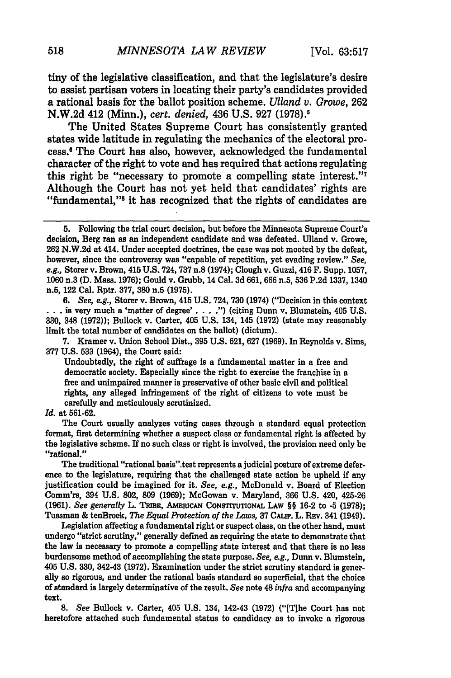tiny of the legislative classification, and that the legislature's desire to assist partisan voters in locating their party's candidates provided a rational basis for the ballot position scheme. *Ulland v. Growe,* 262 N.W.2d 412 (Minn.), *cert. denied,* 436 U.S. 927 (1978).1

The United States Supreme Court has consistently granted states wide latitude in regulating the mechanics of the electoral process.' The Court has also, however, acknowledged the fundamental character of the right to vote and has required that actions regulating this right be "necessary to promote a compelling state interest."7 Although the Court has not yet held that candidates' rights are "fundamental,"<sup>8</sup> it has recognized that the rights of candidates are

*6. See, e.g.,* Storer v. Brown, 415 **U.S.** 724, **730** (1974) ("Decision in this context is very much a 'matter of degree' **. . . .")** (citing Dunn v. Blumstein, 405 **U.S. 330,** 348 **(1972));** Bullock v. Carter, 405 **U.S.** 134, 145 **(1972)** (state may reasonably limit the total number of candidates on the ballot) (dictum).

**7.** Kramer v. Union School Dist., **395 U.S. 621, 627 (1969).** In Reynolds v. Sims, **377 U.S. 533** (1964), the Court said:

Undoubtedly, the right of suffrage is a fundamental matter in a free and democratic society. Especially since the right to exercise the franchise in a free and unimpaired manner is preservative of other basic civil and political rights, any alleged infringement of the right of citizens to vote must be carefully and meticulously scrutinized.

*Id.* at **561-62.**

The Court usually analyzes voting cases through a standard equal protection format, first determining whether a suspect class or fundamental right is affected **by** the legislative scheme. If no such class or right is involved, the provision need only be "rational."

The traditional "rational basis".test represents a judicial posture of extreme deference to the legislature, requiring that the challenged state action be upheld if any justification could be imagined for it. *See, e.g.,* McDonald v. Board of Election Comm'rs, 394 **U.S. 802, 809 (1969);** McGowan v. Maryland, **366 U.S.** 420, 425-26 **(1961).** *See generally* L. TRmE, AmRIc CONsTrrUTONAL LAw §§ 16-2 to **-5 (1978);** Tussman **&** tenBroek, *The Equal Protection of the Laws,* **37** CAUF. L. **RzV. 341 (1949).**

Legislation affecting a fundamental right or suspect class, on the other hand, must undergo "strict scrutiny," generally defined as requiring the state to demonstrate that the law is necessary to promote a compelling state interest and that there is no less burdensome method of accomplishing the state purpose. *See, e.g.,* Dunn v. Blumstein, 405 **U.S. 330,** 342-43 **(1972).** Examination under the strict scrutiny standard is generally so rigorous, and under the rational basis standard so superficial, that the choice of standard is largely determinative of the result. *See* note 48 *infra* and accompanying **text.**

*8. See* Bullock v. Carter, 405 **U.S.** 134, 142-43 **(1972)** ("[Ihe Court has not heretofore attached such fundamental status to candidacy as to invoke a rigorous

**<sup>5.</sup>** Following the trial court decision, but before the Minnesota Supreme Court's decision, Berg ran as an independent candidate and was defeated. Ulland v. Growe, **262 N.W.2d** at 414. Under accepted doctrines, the case was not mooted **by** the defeat, however, since the controversy was "capable of repetition, yet evading review." *See, e.g.,* Storer v. Brown, 415 **U.S.** 724, **737** n.8 (1974); Clough v. Guzzi, 416 F. Supp. **1057, 1060** n.3 **(D.** Mass. **1976);** Gould v. Grubb, 14 Cal. **3d 661, 666** n.5, **536 P.2d 1337, 1340** n.5, 122 Cal. Rptr. **377, 380** n.5 **(1975).**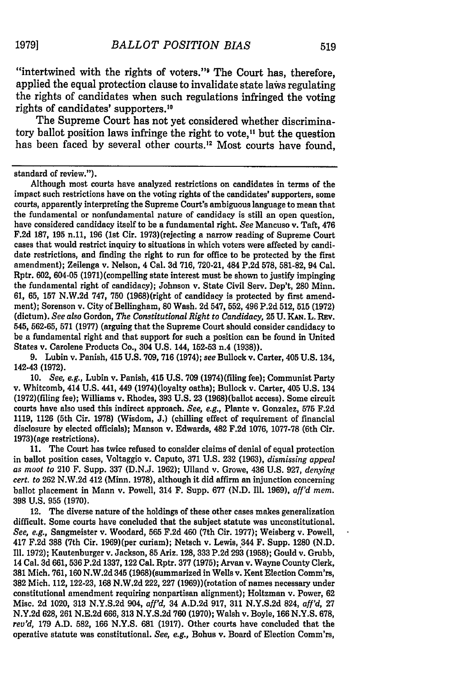"intertwined with the rights of voters." The Court has, therefore, applied the equal protection clause to invalidate state laws regulating the rights of candidates when such regulations infringed the voting rights of candidates' supporters.10

The Supreme Court has not yet considered whether discriminatory ballot position laws infringe the right to vote,<sup>11</sup> but the question has been faced by several other courts.<sup>12</sup> Most courts have found,

standard of review.").

Although most courts have analyzed restrictions on candidates in terms of the impact such restrictions have on the voting rights of the candidates' supporters, some courts, apparently interpreting the Supreme Court's ambiguous language to mean that the fundamental or nonfundamental nature of candidacy is still an open question, have considered candidacy itself to be a fundamental right. *See* Mancuso v. Taft, 476 F.2d 187, 195 n.11, **196** (1st Cir. 1973)(rejecting a narrow reading of Supreme Court cases that would restrict inquiry to situations in which voters were affected by candidate restrictions, and finding the right to run for office to be protected by the first amendment); Zeilenga v. Nelson, 4 Cal. 3d 716, 720-21, 484 P.2d 578, 581-82, 94 Cal. Rptr. 602, 604-05 (1971)(compelling state interest must be shown to justify impinging the fundamental right of candidacy); Johnson v. State Civil Serv. Dep't, 280 Minn. **61, 65,** 157 N.W.2d 747, **750** (1968)(right of candidacy is protected by first amendment); Sorenson v. City of Bellingham, **80** Wash. 2d 547, 552, 496 P.2d 512, 515 (1972) (dictum). *See also* Gordon, *The Constitutional Right to Candidacy,* **25 U. KAN.** L. **Rv.** 545, **562-65, 571 (1977)** (arguing that the Supreme Court should consider candidacy to be a fundamental right and that support for such a position can be found in United States v. Carolene Products Co., 304 **U.S.** 144, **152-53** n.4 **(1938)).**

**9.** Lubin v. Panish, 415 **U.S. 709, 716** (1974); *see* Bullock v. Carter, 405 **U.S.** 134, 142-43 **(1972).**

**10.** *See, e.g.,* Lubin v. Panish, 415 **U.S. 709** (1974)(filing fee); Communist Party v. Whitcomb, 414 **U.S. 441,** 449 (1974)(loyalty oaths); Bullock v. Carter, 405 **U.S.** 134 (1972)(filing fee); Williams v. Rhodes, **393 U.S. 23** (1968)(ballot access). Some circuit courts have also used this indirect approach. *See, e.g.,* Plante v. Gonzalez, **575 F.2d 1119, 1126** (5th Cir. **1978)** (Wisdom, **J.)** (chilling effect of requirement of financial disclosure **by** elected officials); Manson v. Edwards, 482 **F.2d 1076, 1077-78** (6th Cir. 1973)(age restrictions).

**11.** The Court has twice refused to consider claims of denial of equal protection in ballot position cases, Voltaggio v. Caputo, **371 U.S. 232 (1963),** *dismissing appeal as moot to* 210 F. Supp. **337 (D.N.J. 1962);** Ulland v. Growe, 436 **U.S. 927,** *denying cert. to* **262 N.W.2d** 412 (Minn. **1978),** although it did affirm an injunction concerning ballot placement in Mann v. Powell, 314 F. Supp. **677 (N.D. ll. 1969),** *aff'd mem.* **398 U.S. 955 (1970).**

**12.** The diverse nature of the holdings of these other cases makes generalization difficult. Some courts have concluded that the subject statute was unconstitutional. *See, e.g.,* Sangmeister v. Woodard, **565 F.2d** 460 (7th Cir. **1977);** Weisberg v. Powell, 417 **F.2d 388** (7th Cir. 1969)(per curiam); Netsch v. Lewis, 344 F. Supp. **1280 (N.D.** Ill. **1972);** Kautenburger v. Jackson, **85** Ariz. **128, 333 P.2d 293 (1958);** Gould v. Grubb, 14 Cal. **3d 661, 536 P.2d 1337, 122** Cal. Rptr. **377 (1975);** Aryan v. Wayne County Clerk, **381** Mich. **761,160 N.W.2d** 345 **(1968)** (summarized in Wells v. Kent Election Comm'rs, **382** Mich. 112, **122-23,** 168 **N.W.2d** 222, **227** (1969))(rotation of names necessary under constitutional amendment requiring nonpartisan alignment); Holtzman v. Power, **62** Misc. **2d** 1020, **313 N.Y.S.2d** 904, *affl'd,* 34 **A.D.2d 917, 311 N.Y.S.2d** 824, *affl'd,* **27 N.Y.2d 628, 261 N.E.2d** 666, **313 N.Y.S.2d 760 (1970);** Walsh v. Boyle, 166 **N.Y.S. 678,** *rev'd,* **179 A.D. 582,** 166 **N.Y.S.** 681 **(1917).** Other courts have concluded that the operative statute was constitutional. *See, e.g.,* Bohus v. Board of Election Comm'rs,

**19791**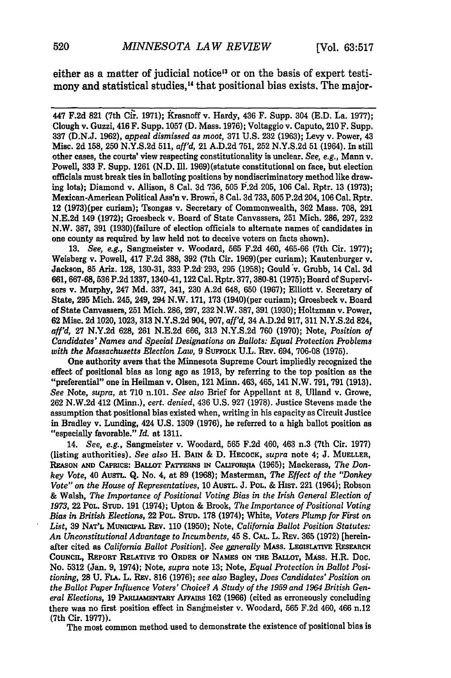either as a matter of judicial notice<sup>13</sup> or on the basis of expert testimony and statistical studies.<sup>14</sup> that positional bias exists. The major-

447 F.2d 821 (7th Cir. 1971); Krasnoff v. Hardy, 436 F. Supp. 304 (E.D. La. 1977); Clough v. Guzzi, 416 F. Supp. 1057 **(D.** Mass. 1976); Voltaggio v. Caputo, 210 F. Supp. **337 (D.N.J. 1962),** *appeal dismissed as moot,* **371 U.S. 232 (1963);** Levy v. Power, 43 Misc. 2d **158, 250** N.Y.S.2d 511, *affl'd,* 21 A.D.2d 751, 252 N.Y.S.2d 51 (1964). In still other cases, the courts' view respecting constitutionality is unclear. *See, e.g.,* Mann v. Powell, **333** F. Supp. 1261 (N.D. Ill. 1969) (statute constitutional on face, but election officials must break ties in balloting positions by nondiscriminatory method like drawing lots); Diamond v. Allison, **8** Cal. 3d 736, 505 1.2d 205, 106 Cal. Rptr. 13 (1973); Mexican-American Political **Ass'n** v. Brown, 8 Cal. **3d 733, 505** P.2d 204,106 Cal. Rptr. 12 (1973)(per curiam); Tsongas v. Secretary of Commonwealth, **362** Mass. 708, **291** N.E.2d 149 **(1972);** Groesbeck v. Board of State Canvassers, 251 Mich. 286, 297, 232 N.W. 387, **391** (1930)(failure of election officials to alternate names of candidates in one county as required by law held not to deceive voters on facts shown).

13. *See, e.g.,* Sangmeister v. Woodard, **565** F.2d 460, 465-66 (7th Cir. 1977); Weisberg v. Powell, 417 F.2d 388, **392** (7th Cir. 1969)(per curiam); Kautenburger v. Jackson, **85** Ariz. 128, **130-31, 333** P.2d 293, 295 (1958); Gould v. Grubb, 14 Cal. **3d** 661, 667-68, **536** P.2d 1337, 1340-41, 122 Cal. Rptr. 377, **380-81** (1975); Board of Supervisors v. Murphy, 247 Md. 337, 341, 230 A.2d 648, 650 (1967); Elliott v. Secretary of State, **295** Mich. 245, 249, 294 N.W. 171, 173 (1940) (per curiam); Groesbeck v. Board of State Canvassers, 251 Mich. 286, 297, 232 N.W. 387, 391 (1930); Holtzman v. Power, 62 Misc. 2d 1020, 1023, 313 N.Y.S.2d 904, 907, *affl'd,* 34 A.D.2d 917, 311 N.Y.S.2d 824, *aff'd,* 27 N.Y.2d 628, **261** N.E.2d 666, 313 N.Y.S.2d **760** (1970); Note, *Position of Candidates' Names and Special Designations on Ballots: Equal Protection Problems* with the Massachusetts Election Law, 9 SUFFOLK U.L. REV. 694, 706-08 (1975).

One authority avers that the Minnesota Supreme Court impliedly recognized the effect of positional bias as long ago as 1913, by referring to the top position as the "preferential" one in Heilman v. Olsen, 121 Minn. 463, 465, 141 N.W. 791, 791 (1913). *See* Note, *supra,* at 710 n.101. *See also* Brief for Appellant at 8, Ulland v. Growe, 262 N.W.2d 412 (Minn.), *cert. denied,* 436 U.S. 927 (1978). Justice Stevens made the assumption that positional bias existed when, writing in his capacity as Circuit Justice in Bradley v. Lunding, 424 **U.S. 1309 (1976),** he referred to a high ballot position as "especially favorable." *Id.* at 1311.

14. *See, e.g.,* Sangmeister v. Woodard, **565** F.2d 460, 463 n.3 (7th Cir. 1977) (listing authorities). *See also* H. BAIN & D. **HECOCK,** *supra* note 4; J. **MUELLER,** RASON **MD** CAPRcE: BALLOT **PATTRNS IN CALIFORrJIA** (1965); Mackerass, *The Donkey Vote,* 40 AUsTL. Q. No. 4, at **89** (1968); Masterman, *The Effect of the "Donkey Vote" on the House of Representatives,* 10 AuSTL. J. POL. & HiST. 221 (1964); Robson & Walsh, *The Importance of Positional Voting Bias in the Irish General Election of 1973,* 22 POL. **STUD.** 191 (1974); Upton & Brook, *The Importance of Positional Voting Bias in British Elections,* 22 **POL. STUD.** 178 (1974); White, *Voters Plump for First on List,* **39 NAT'L** MuNIciPAL REV. 110 (1950); Note, *California Ballot Position Statutes: An Unconstitutional Advantage to Incumbents,* 45 **S. CAL.** L. REv. **365** (1972) [hereinafter cited as *California Ballot Position*]. See generally MASS. LEGISLATIVE RESEARCH **COUNcIL, REPORT RELATIvE TO ORDER** OF **NAMES ON Tim** BALLOT, MASS. H.R. Doc. No. 5312 (Jan. 9, 1974); Note, *supra* note 13; Note, *Equal Protection in Ballot Positioning,* 28 U. FLA. L. REv. 816 (1976); *see also* Bagley, *Does Candidates' Position on the Ballot Paper Influence Voters' Choice? A Study of the 1959 and 1964 British General Elections,* 19 **PARLIAMENTARY AFFAIRS** 162 (1966) (cited as erroneously concluding there was no first position effect in Sangmeister v. Woodard, 565 F.2d 460, 466 n.12 (7th Cir. 1977)).

The most common method used to demonstrate the existence of positional bias is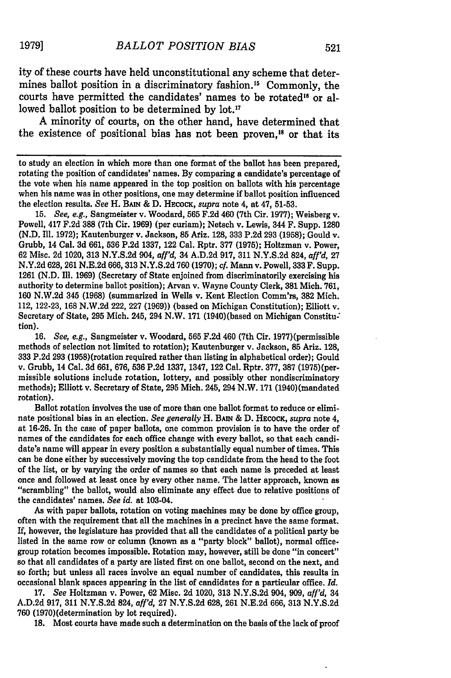ity of these courts have held unconstitutional any scheme that determines ballot position in a discriminatory fashion.<sup>15</sup> Commonly, the courts have permitted the candidates' names to be rotated" or allowed ballot position to be determined by lot.<sup>17</sup>

A minority of courts, on the other hand, have determined that the existence of positional bias has not been proven,<sup>18</sup> or that its

to study an election in which more than one format of the ballot has been prepared, rotating the position of candidates' names. **By** comparing a candidate's percentage of the vote when his name appeared in the top position on ballots with his percentage when his name was in other positions, one may determine if ballot position influenced the election results. *See* H. **BAIN & D.** HEcocK, *supra* note 4, at 47, **51-53.**

**15.** *See, e.g.,* Sangmeister v. Woodard, **565 F.2d** 460 (7th Cir. **1977);** Weisberg v. Powell, 417 **F.2d 388** (7th Cir. **1969)** (per curiam); Netsch v. Lewis, 344 F. Supp. **1280 (N.D.** Ill. **1972);** Kautenburger v. Jackson, **85** Ariz. **128, 333 P.2d 293 (1958);** Gould v. Grubb, 14 Cal. **3d** 661, **536 P.2d 1337,** 122 Cal. Rptr. **377 (1975);** Holtzman v. Power, **62** Misc. **2d** 1020, **313 N.Y.S.2d** 904, *affl'd,* 34 **A.D.2d 917, 311 N.Y.S.2d** 824, *affl'd,* **27 N.Y.2d 628, 261 N.E.2d 666, 313 N.Y.S.2d 760 (1970);** *cf.* Mann v. Powell, **333** F. Supp. 1261 **(N.D. Ill. 1969)** (Secretary of State enjoined from discriminatorily exercising his authority to determine ballot position); Aryan v. Wayne County Clerk, **381** Mich. **761, 160 N.W.2d** 345 **(1968)** (summarized in Wells v. Kent Election Comm'rs, **382** Mich. 112, **122-23, 168 N.W.2d** 222, **227 (1969))** (based on Michigan Constitution); Elliott v. Secretary of State, **295** Mich. 245, 294 N.W. **171** (1940)(based on Michigan Constitu: tion).

**16.** *See, e.g.,* Sangmeister v. Woodard, **565 F.2d** 460 (7th Cir. 1977)(permissible methods of selection not limited to rotation); Kautenburger v. Jackson, **85** Ariz. **128, 333 P.2d 293** (1958) (rotation required rather than listing in alphabetical order); Gould v. Grubb, 14 Cal. **3d 661, 676, 536 P.2d 1337,** 1347, 122 Cal. Rptr. **377, 387** (1975)(permissible solutions include rotation, lottery, and possibly other nondiscriminatory methods); Elliott v. Secretary of State, **295** Mich. 245, 294 N.W. **171** (1940) (mandated rotation).

Ballot rotation involves the use of more than one ballot format to reduce or eliminate positional bias in an election. *See generally* H. **BAIN** & **D. HECOCK,** *supra* note 4, at **16-26.** In the case of paper ballots, one common provision is to have the order of names of the candidates for each office change with every ballot, so that each candidate's name will appear in every position a substantially equal number of times. This can be done either **by** successively moving the top candidate from the head to the foot of the list, or **by** varying the order of names so that each name is preceded at least once and followed at least once **by** every other name. The latter approach, known as "scrambling" the ballot, would also eliminate any effect due to relative positions of the candidates' names. *See id.* at 103-04.

As with paper ballots, rotation on voting machines may be done **by** office group, often with the requirement that all the machines in a precinct have the same format. **If,** however, the legislature has provided that all the candidates of a political party be listed in the same row or column (known as a "party block" ballot), normal officegroup rotation becomes impossible. Rotation may, however, still be done "in concert" so that all candidates of a party are listed first on one ballot, second on the next, and so forth; but unless all races involve an equal number of candidates, this results in occasional blank spaces appearing in the list of candidates for a particular office. *Id.*

**17.** *See* Holtzman v. Power, **62** Misc. **2d** 1020, **313 N.Y.S.2d** 904, **909,** *affl'd,* 34 **A.D.2d 917, 311 N.Y.S.2d** 824, *affl'd,* **27 N.Y.S.2d 628, 261 N.E.2d 666, 313 N.Y.S.2d 760** (1970)(determination **by** lot required).

**18.** Most courts have made such a determination on the basis of the lack of proof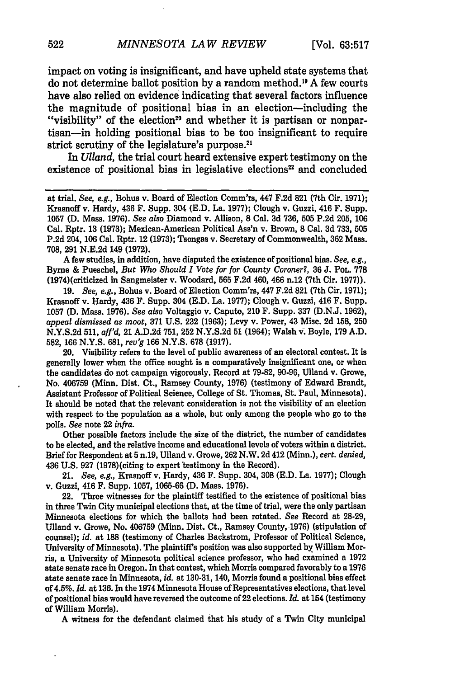impact on voting is insignificant, and have upheld state systems that do not determine ballot position by a random method." A few courts have also relied on evidence indicating that several factors influence the magnitude of positional bias in an election-including the "visibility" of the election<sup>20</sup> and whether it is partisan or nonpartisan-in holding positional bias to be too insignificant to require strict scrutiny of the legislature's purpose.<sup>21</sup>

In *Ulland*, the trial court heard extensive expert testimony on the existence of positional bias in legislative elections<sup>22</sup> and concluded

**A** few studies, in addition, have disputed the existence of positional bias. *See, e.g.,* Byrne & Pueschel, *But Who Should I Vote for for County Coroner?,* **36** J. POL. **778** (1974)(criticized in Sangmeister v. Woodard, 565 F.2d 460, 466 n.12 (7th Cir. 1977)).

19. *See, e.g.,* Bohus v. Board of Election Comm'rs, 447 F.2d **821** (7th Cir. 1971); Krasnoff v. Hardy, 436 F. Supp. 304 (E.D. La. 1977); Clough v. Guzzi, 416 F. Supp. 1057 **(D.** Mass. 1976). *See also* Voltaggio v. Caputo, 210 F. Supp. **337** (D.N.J. 1962), *appeal dismissed as moot,* **371 U.S.** 232 **(1963);** Levy v. Power, 43 Misc. 2d **158,** 250 N.Y.S.2d 511, *affl'd,* 21 A.D.2d 751, 252 N.Y.S.2d 51 (1964); Walsh v. Boyle, 179 A.D. 582, **166** N.Y.S. 681, *rev'g* **166** N.Y.S. 678 (1917).

20. Visibility refers to the level of public awareness of an electoral contest. It is generally lower when the office sought is a comparatively insignificant one, or when the candidates do not campaign vigorously. Record at 79-82, 90-96, Ulland v. Growe, No. 406759 (Minn. Dist. Ct., Ramsey County, 1976) (testimony of Edward Brandt, Assistant Professor of Political Science, College of St. Thomas, St. Paul, Minnesota). It should be noted that the relevant consideration is not the visibility of an election with respect to the population as a whole, but only among the people who go to the polls. *See* note 22 *infra.*

Other possible factors include the size of the district, the number of candidates to be elected, and the relative income and educational levels of voters within a district. Brief for Respondent at **5** n.19, Ulland v. Growe, 262 N.W. 2d 412 (Minn.), *cert. denied,* 436 U.S. **927** (1978)(citing to expert testimony in the Record).

21. *See, e.g.,* Krasnoff v. Hardy, 436 F. Supp. 304, 308 (E.D. La. 1977); Clough v. Guzzi, 416 F. Supp. 1057, 1065-66 **(D.** Mass. 1976).

22. Three witnesses for the plaintiff testified to the existence of positional bias in three Twin City municipal elections that, at the time of trial, were the only partisan Minnesota elections for which the ballots had been rotated. *See* Record at **28-29,** Ulland v. Growe, No. 406759 (Minn. Dist. Ct., Ramsey County, 1976) (stipulation of counsel); *id.* at 188 (testimony of Charles Backstrom, Professor of Political Science, University of Minnesota). The plaintiff's position was also supported by William Morris, a University of Minnesota political science professor, who had examined a 1972 state senate race in Oregon. In that contest, which Morris compared favorably to a 1976 state senate race in Minnesota, *id.* at 130-31, 140, Morris found a positional bias effect of 4.5%. *Id.* at 136. In the 1974 Minnesota House of Representatives elections, that level of positional bias would have reversed the outcome of 22 elections. *Id.* at 154 (testimony of William Morris).

**A** witness for the defendant claimed that his study of a Twin City municipal

at trial. *See, e.g.,* Bohus v. Board of Election Comm'rs, 447 F.2d **821** (7th Cir. 1971); Krasnoff v. Hardy, 436 F. Supp. 304 (E.D. La. 1977); Clough v. Guzzi, 416 F. Supp. 1057 **(D.** Mass. 1976). *See also* Diamond v. Allison, 8 Cal. 3d 736, 505 P.2d 205, 106 Cal. Rptr. **13 (1973);** Mexican-American Political Ass'n v. Brown, 8 Cal. **3d 733, 505** P.2d 204, 106 Cal. Rptr. 12 (1973); Tsongas v. Secretary of Commonwealth, **362** Mass. 708, 291 N.E.2d 149 (1972).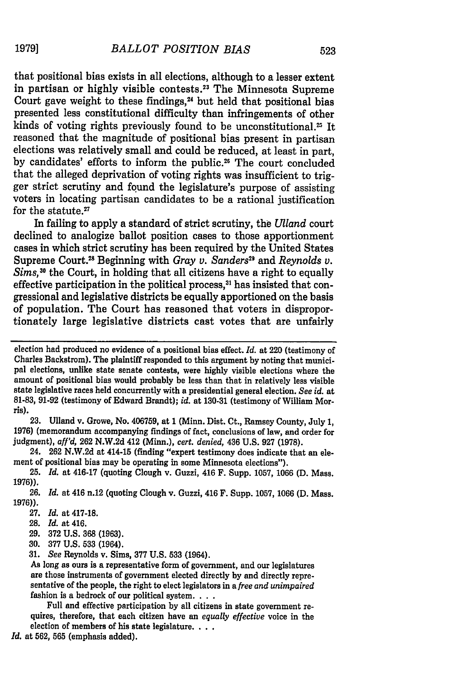that positional bias exists in all elections, although to a lesser extent in partisan or highly visible contests.<sup>23</sup> The Minnesota Supreme Court gave weight to these findings, $<sup>24</sup>$  but held that positional bias</sup> presented less constitutional difficulty than infringements of other kinds of voting rights previously found to be unconstitutional.<sup>25</sup> It reasoned that the magnitude of positional bias present in partisan elections was relatively small and could be reduced, at least in part, by candidates' efforts to inform the public.<sup>26</sup> The court concluded that the alleged deprivation of voting rights was insufficient to trigger strict scrutiny and found the legislature's purpose of assisting voters in locating partisan candidates to be a rational justification for the statute.<sup>27</sup>

In failing to apply a standard of strict scrutiny, the *Ulland* court declined to analogize ballot position cases to those apportionment cases in which strict scrutiny has been required by the United States Supreme Court.2s Beginning with *Gray v. Sanders"* and *Reynolds v.* Sims,<sup>30</sup> the Court, in holding that all citizens have a right to equally effective participation in the political process,<sup>31</sup> has insisted that congressional and legislative districts be equally apportioned on the basis of population. The Court has reasoned that voters in disproportionately large legislative districts cast votes that are unfairly

**23.** Ulland v. Growe, No. **406759,** at 1 (Minn. Dist. Ct., Ramsey County, July **1, 1976)** (memorandum accompanying findings of fact, conclusions of law, and order for judgment), *aff'd,* **262 N.W.2d** 412 (Minn.), *cert. denied,* 436 **U.S. 927 (1978).**

24. **262 N.W.2d** at 414-15 (finding "expert testimony does indicate that an element of positional bias may be operating in some Minnesota elections").

**25.** *Id.* at 416-17 (quoting Clough v. Guzzi, 416 F. Supp. **1057, 1066 (D.** Mass. **1976)).**

**26.** *Id.* at 416 n.12 (quoting Clough v. Guzzi, 416 F. Supp. **1057, 1066 (D.** Mass. **1976)).**

**30. 377 U.S. 533** (1964).

**31.** *See* Reynolds v. Sims, **377 U.S. 533** (1964).

As long as ours is a representative form of government, and our legislatures are those instruments of government elected directly **by** and directly representative of the people, the right to elect legislators in *a free and unimpaired* fashion is a bedrock of our political system. **...**

Full and effective participation **by** all citizens in state government re- quires, therefore, that each citizen have an *equally effective* voice in the election of members of his state legislature. **...**

*Id.* at **562, 565** (emphasis added).

election had produced no evidence of a positional bias effect. *Id.* at 220 (testimony of Charles Backstrom). The plaintiff responded to this argument **by** noting that municipal elections, unlike state senate contests, were **highly** visible elections where the amount of positional bias would probably be less than that in relatively less visible state legislative races held concurrently with a presidential general election. *See id.* at **81-83, 91-92** (testimony of Edward Brandt); *id.* at **130-31** (testimony of William Morris).

**<sup>27.</sup>** *Id.* at **417-18.**

**<sup>28.</sup>** *Id.* at 416.

**<sup>29. 372</sup> U.S. 368 (1963).**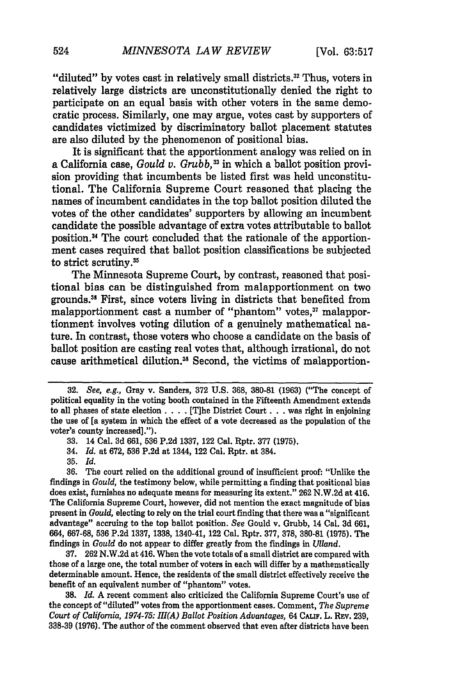"diluted" by votes cast in relatively small districts.<sup>32</sup> Thus, voters in relatively large districts are unconstitutionally denied the right to participate on an equal basis with other voters in the same democratic process. Similarly, one may argue, votes cast by supporters of candidates victimized by discriminatory ballot placement statutes are also diluted by the phenomenon of positional bias.

It is significant that the apportionment analogy was relied on in a California case, *Gould v. Grubb*,<sup>33</sup> in which a ballot position provision providing that incumbents be listed first was held unconstitutional. The California Supreme Court reasoned that placing the names of incumbent candidates in the top ballot position diluted the votes of the other candidates' supporters by allowing an incumbent candidate the possible advantage of extra votes attributable to ballot position. 4 The court concluded that the rationale of the apportionment cases required that ballot position classifications be subjected to strict scrutiny.<sup>35</sup>

The Minnesota Supreme Court, by contrast, reasoned that positional bias can be distinguished from malapportionment on two grounds." First, since voters living in districts that benefited from malapportionment cast a number of "phantom" votes,<sup>37</sup> malapportionment involves voting dilution of a genuinely mathematical nature. In contrast, those voters who choose a candidate on the basis of ballot position are casting real votes that, although irrational, do not cause arithmetical dilution.<sup>38</sup> Second, the victims of malapportion-

37. 262 N.W.2d at 416. When the vote totals of a small district are compared with those of a large one, the total number of voters in each will differ by a mathematically determinable amount. Hence, the residents of the small district effectively receive the benefit of an equivalent number of "phantom" votes.

**38.** *Id.* **A** recent comment also criticized the California Supreme Court's use of the concept of "diluted" votes from the apportionment cases. Comment, *The Supreme Court of California, 1974-75: I1(A) Ballot Position Advantages,* 64 CALW. L. Rv. 239, 338-39 (1976). The author of the comment observed that even after districts have been

<sup>32.</sup> *See, e.g.,* Gray v. Sanders, **372** U.S. **368,** 380-81 (1963) ("The concept of political equality in the voting booth contained in the Fifteenth Amendment extends to all phases of state election **....** [The District Court **...** was right in enjoining the use of [a system in which the effect of a vote decreased as the population of the voter's county increased].").

<sup>33. 14</sup> Cal. **3d** 661, **536** P.2d 1337, 122 Cal. Rptr. **377 (1975).**

<sup>34.</sup> *Id.* at 672, **536** P.2d at 1344, 122 Cal. Rptr. at 384.

<sup>35.</sup> *Id.*

**<sup>36.</sup>** The court relied on the additional ground of insufficient proof: "Unlike the findings in *Gould,* the testimony below, while permitting a finding that positional bias does exist, furnishes no adequate means for measuring its extent." 262 N.W.2d at 416. The California Supreme Court, however, did not mention the exact magnitude of bias present in *Gould,* electing to rely on the trial court finding that there was a "significant advantage" accruing to the top ballot position. *See* Gould v. Grubb, 14 Cal. 3d 661, 664, 667-68, **536** P.2d 1337, 1338, 1340-41, 122 Cal. Rptr. 377, 378, 380-81 (1975). The findings in *Gould* do not appear to differ greatly from the findings in *(Illand.*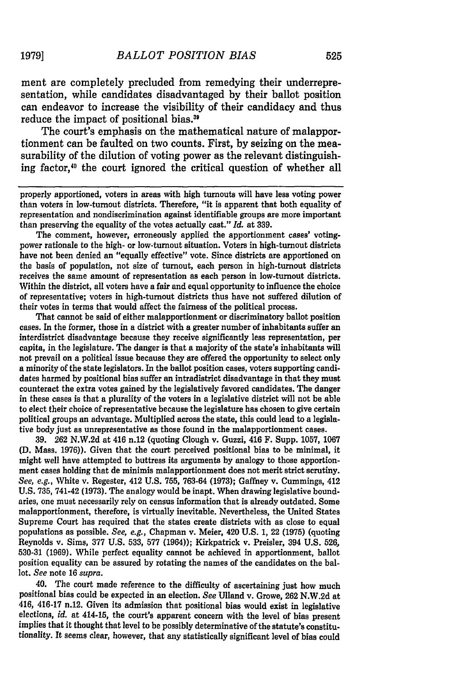ment are completely precluded from remedying their underrepresentation, while candidates disadvantaged by their ballot position can endeavor to increase the visibility of their candidacy and thus reduce the impact of positional bias."

The court's emphasis on the mathematical nature of malapportionment can be faulted on two counts. First, by seizing on the measurability of the dilution of voting power as the relevant distinguishing factor,<sup>40</sup> the court ignored the critical question of whether all

properly apportioned, voters in areas with high turnouts will have less voting power than voters in low-turnout districts. Therefore, "it is apparent that both equality of representation and nondiscrimination against identifiable groups are more important than preserving the equality of the votes actually cast." *Id.* at **339.**

The comment, however, erroneously applied the apportionment cases' votingpower rationale to the high- or low-turnout situation. Voters in high-turnout districts have not been denied an "equally effective" vote. Since districts are apportioned on the basis of population, not size of turnout, each person in high-turnout districts receives the same amount of representation as each person in low-turnout districts. Within the district, all voters have a fair and equal opportunity to influence the choice of representative; voters in high-turnout districts thus have not suffered dilution of their votes in terms that would affect the fairness of the political process.

That cannot be said of either malapportionment or discriminatory ballot position cases. In the former, those in a district with a greater number of inhabitants suffer an interdistrict disadvantage because they receive significantly less representation, per capita, in the legislature. The danger is that a majority of the state's inhabitants will not prevail on a political issue because they are offered the opportunity to select only a minority of the state legislators. In the ballot position cases, voters supporting candidates harmed **by** positional bias suffer an intradistrict disadvantage in that they must counteract the extra votes gained **by** the legislatively favored candidates. The danger in these cases is that a plurality of the voters in a legislative district will not be able to elect their choice of representative because the legislature has chosen to give certain political groups an advantage. Multiplied across the state, this could lead to a legislative body just as unrepresentative as those found in the malapportionment cases.

**39. 262 N.W.2d** at 416 n.12 (quoting Clough v. Guzzi, 416 F. Supp. **1057, 1067 (D.** Mass. **1976)).** Given that the court perceived positional bias to be minimal, it might well have attempted to buttress its arguments **by** analogy to those apportionment cases holding that de minimis malapportionment does not merit strict scrutiny. *See, e.g.,* White v. Regester, 412 **U.S. 755, 763-64 (1973);** Gaffney v. Cummings, 412 **U.S. 735,** 741-42 **(1973).** The analogy would be inapt. When drawing legislative boundaries, one must necessarily rely on census information that is already outdated. Some malapportionment, therefore, is virtually inevitable. Nevertheless, the United States Supreme Court has required that the states create districts with as close to equal populations as possible. *See, e.g.,* Chapman v. Meier, 420 **U.S. 1,** 22 **(1975)** (quoting Reynolds v. Sims, **377 U.S. 533, 577** (1964)); Kirkpatrick v. Preisler, 394 **U.S. 526, 530-31 (1969).** While perfect equality cannot be achieved in apportionment, ballot position equality can be assured **by** rotating the names of the candidates on the ballot. *See* note 16 *supra.*

40. The court made reference to the difficulty of ascertaining just how much positional bias could be expected in an election. *See* Ulland v. Growe, **262 N.W.2d** at 416, 416-17 n.12. Given its admission that positional bias would exist in legislative elections, *id.* at 414-15, the court's apparent concern with the level of bias present implies that it thought that level to be possibly determinative of the statute's constitutionality. It seems clear, however, that any statistically significant level of bias could

**1979]**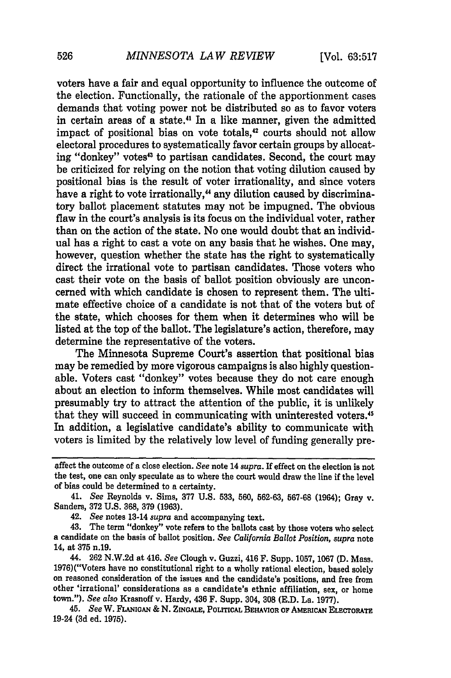voters have a fair and equal opportunity to influence the outcome of the election. Functionally, the rationale of the apportionment cases demands that voting power not be distributed so as to favor voters in certain areas of a state.<sup>41</sup> In a like manner, given the admitted impact of positional bias on vote totals,<sup>42</sup> courts should not allow electoral procedures to systematically favor certain groups by allocating "donkey" votes<sup>43</sup> to partisan candidates. Second, the court may be criticized for relying on the notion that voting dilution caused by positional bias is the result of voter irrationality, and since voters have a right to vote irrationally,<sup>44</sup> any dilution caused by discriminatory ballot placement statutes may not be impugned. The obvious flaw in the court's analysis is its focus on the individual voter, rather than on the action of the state. No one would doubt that an individual has a right to cast a vote on any basis that he wishes. One may, however, question whether the state has the right to systematically direct the irrational vote to partisan candidates. Those voters who cast their vote on the basis of ballot position obviously are unconcerned with which candidate is chosen to represent them. The ultimate effective choice of a candidate is not that of the voters but of the state, which chooses for them when it determines who will be listed at the top of the ballot. The legislature's action, therefore, may determine the representative of the voters.

The Minnesota Supreme Court's assertion that positional bias may be remedied by more vigorous campaigns is also highly questionable. Voters cast "donkey" votes because they do not care enough about an election to inform themselves. While most candidates will presumably try to attract the attention of the public, it is unlikely that they will succeed in communicating with uninterested voters.45 In addition, a legislative candidate's ability to communicate with voters is limited by the relatively low level of funding generally pre-

41. *See* Reynolds v. Sims, 377 U.S. 533, 560, **562-63, 567-68** (1964); Gray v. Sanders, 372 U.S. **368,** 379 (1963).

42. *See* notes 13-14 *supra* and accompanying text.

43. The term "donkey" vote refers to the ballots cast by those voters who select a candidate on the basis of ballot position. *See California Ballot Position, supra* note 14, at 375 n.19.

44. 262 N.W.2d at 416. *See* Clough v. Guzzi, 416 F. Supp. 1057, 1067 **(D.** Mass. 1976)("Voters have no constitutional right to a wholly rational election, based solely on reasoned consideration of the issues and the candidate's positions, and free from other 'irrational' considerations as a candidate's ethnic affiliation, sex, or home town."). *See also* Krasnoff v. Hardy, 436 F. Supp. 304, **308 (E.D.** La. **1977).**

45. *See* W. **FLANIGAN & N. ZINGALE,** PouITcAL **BEHAVIOR OF AMERIcA ELECTORATE** 19-24 **(3d** ed. **1975).**

effect the outcome of a close election. *See* note 14 *supra.* If effect on the election is not the test, one can only speculate as to where the court would draw the line if the level of bias could be determined to a certainty.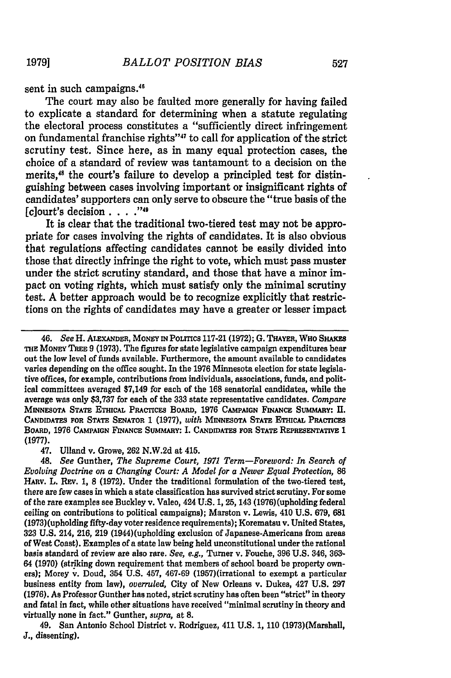sent in such campaigns.<sup>46</sup>

The court may also be faulted more generally for having failed to explicate a standard for determining when a statute regulating the electoral process constitutes a "sufficiently direct infringement on fundamental franchise rights"<sup>47</sup> to call for application of the strict scrutiny test. Since here, as in many equal protection cases, the choice of a standard of review was tantamount to a decision on the merits,<sup>48</sup> the court's failure to develop a principled test for distinguishing between cases involving important or insignificant rights of candidates' supporters can only serve to obscure the "true basis of the [c]ourt's decision . . **.,.**

It is clear that the traditional two-tiered test may not be appropriate for cases involving the rights of candidates. It is also obvious that regulations affecting candidates cannot be easily divided into those that directly infringe the right to vote, which must pass muster under the strict scrutiny standard, and those that have a minor impact on voting rights, which must satisfy only the minimal scrutiny test. A better approach would be to recognize explicitly that restrictions on the rights of candidates may have a greater or lesser impact

47. Ulland v. Growe, **262 N.W.2d** at 415.

*48. See* **Gunther,** *The Supreme Court, 1971 Term-Foreword: In Search of Evolving Doctrine on a Changing Court: A Model for a Newer Equal Protection,* **86** HARv. L. REv. 1, **8** (1972). Under the traditional formulation of the two-tiered test, there are few cases in which a state classification has survived strict scrutiny. For some of the rare examples see Buckley v. Valeo, 424 U.S. 1, 25, 143 (1976) (upholding federal ceiling on contributions to political campaigns); Marston v. Lewis, 410 U.S. 679, 681 **(1973)** (upholding fifty-day voter residence requirements); Korematsu v. United States, **323** U.S. 214, 216, 219 (1944)(upholding exclusion of Japanese-Americans from areas of West Coast). Examples of a state law being held unconstitutional under the rational basis standard of review are also rare. *See, e.g.,* Turner v. Fouche, 396 U.S. 346, 363- 64 (1970) (striking down requirement that members of school board be property owners); Morey v. Doud, 354 U.S. 457, 467-69 (1957)(irrational to exempt a particular business entity from law), *overruled,* City of **New Orleans** v. Dukes, 427 U.S. 297 (1976). As Professor Gunther has noted, strict scrutiny has often been "strict" in theory and fatal in fact, while other situations have received "minimal scrutiny in theory and virtually none in fact." Gunther, *supra,* at **8.**

49. San **Antonio** School District v. Rodriguez, **411** U.S. 1, 110 (1973)(Marshall, **J.,** dissenting).

**1979]**

<sup>46.</sup> *See* **H. ALEXANDER, MoNEYNPoLrics 117-21 (1972); G. THAYER,** WHO **SHAKES THE MONEY** TREE **9 (1973).** The figures for state legislative campaign expenditures bear out the low level of funds available. Furthermore, the amount available to candidates varies depending on the office sought. In the **1976** Minnesota election for state legislative offices, for example, contributions from individuals, associations, funds, and political committees averaged \$7,149 for each of the **168** senatorial candidates, while the average was only **\$3,737** for each of the **333** state representative candidates. *Compare* **MINNESOTA STATE ETHicAL PRACTIcES BOARD, 1976 CAMPAIGN FINANCE SUMMARY: II. CANDIDATES FOR STATE SENATOR 1 (1977),** *with* **MINNESOTA STATE ETHIcAL PRAcncs** BOARD, 1976 CAMPAIGN FINANCE SUMMARY: I. CANDIDATES FOR STATE REPRESENTATIVE 1 **(1977).**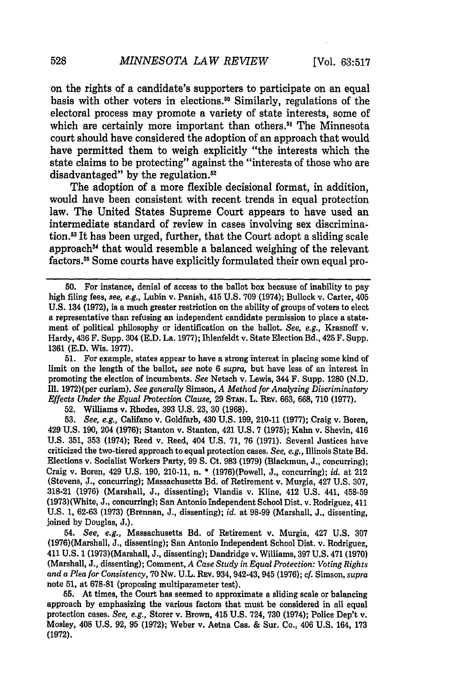on the rights of a candidate's supporters to participate on an equal basis with other voters in elections." Similarly, regulations of the electoral process may promote a variety of state interests, some of which are certainly more important than others.<sup>51</sup> The Minnesota court should have considered the adoption of an approach that would have permitted them to weigh explicitly "the interests which the state claims to be protecting" against the "interests of those who are disadvantaged" by the regulation.<sup>52</sup>

The adoption of a more flexible decisional format, in addition, would have been consistent with recent trends in equal protection law. The United States Supreme Court appears to have used an intermediate standard of review in cases involving sex discrimination.<sup>53</sup> It has been urged, further, that the Court adopt a sliding scale approach<sup>54</sup> that would resemble a balanced weighing of the relevant factors." Some courts have explicitly formulated their own equal pro-

51. For example, states appear to have a strong interest in placing some kind **of** limit on the length of the ballot, *see* note 6 *supra,* but have less of an interest in promoting the election of incumbents. *See* Netsch v. Lewis, 344 F. Supp. 1280 (N.D. Ill. 1972)(per curiam). *See generally* Simson, *A Method for Analyzing Discriminatory Effects Under the Equal Protection Clause,* **29 STAN.** L. REv. 663, 668, **710** (1977).

**52.** Williams v. Rhodes, 393 U.S. 23, **30** (1968).

**53.** *See, e.g.,* Califano v. Goldfarb, 430 U.S. 199, 210-11 **(1977);** Craig v. Boren, 429 U.S. 190, 204 (1976); Stanton v. Stanton, 421 U.S. 7 (1975); Kahn v. Shevin, 416 U.S. 351, **353** (1974); Reed v. Reed, 404 U.S. 71, 76 (1971). Several Justices have criticized the two-tiered approach to equal protection cases. *See, e.g.,* Illinois State Bd. Elections v. Socialist Workers Party, 99 **S.** Ct. 983 (1979) (Blackmun, J., concurring); Craig v. Boren, 429 U.S. 190, 210-11, n. \* (1976)(Powell, J., concurring); *id.* at 212 (Stevens, J., concurring); Massachusetts Bd. of Retirement v. Murgia, 427 U.S. 307, 318-21 (1976) (Marshall, J., dissenting); Vlandis v. Kline, 412 U.S. 441, **458-59** (1973) (White, J., concurring); San Antonio Independent School Dist. v. Rodriguez, 411 U.S. 1, 62-63 (1973) (Brennan, J., dissenting); *id.* at 98-99 (Marshall, J., dissenting, joined by Douglas, J.).

54. *See, e.g.,* Massachusetts Bd. of Retirement v. Murgia, 427 U.S. **307** (1976)(Marshall, J., dissenting); San Antonio Independent School Dist. v. Rodriguez, 411 U.S. 1 (1973)(Marshall, J., dissenting); Dandridge v. Williams, 397 U.S. 471 (1970) (Marshall, J., dissenting); Comment, *A Case Study in Equal Protection: Voting Rights and a Plea for Consistency,* 70 Nw. U.L. Rav. 934, 942-43, 945 (1976); cf. Simson, *supra* note 51, at 678-81 (proposing multiparameter test).

**55.** At times, the Court has seemed to approximate a sliding scale or balancing approach by emphasizing the various factors that must be considered in all equal protection cases. *See, e.g.,* Storer v. Brown, 415 U.S. 724, 730 (1974); Police Dep't v. Mosley, 408 U.S. 92, 95 (1972); Weber v. Aetna Cas. & Sur. Co., 406 U.S. 164, 173 (1972).

**<sup>50.</sup>** For instance, denial of access to the ballot box because of inability to pay high filing fees, *see, e.g.,* Lubin v. Panish, 415 U.S. 709 (1974); Bullock v. Carter, 405 U.S. 134 (1972), is a much greater restriction on the ability of groups of voters to elect a representative than refusing an independent candidate permission to place a statement of political philosophy or identification on the ballot. *See, e.g.,* Krasnoff v. Hardy, 436 F. Supp. 304 (E.D. La. 1977); Ihlenfeldt v. State Election Bd., 425 F. Supp. 1361 (E.D. Wis. 1977).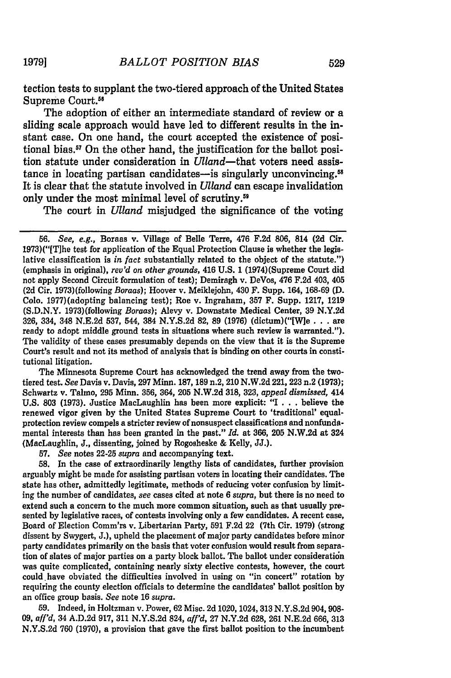tection tests to supplant the two-tiered approach of the United States Supreme Court.<sup>58</sup>

The adoption of either an intermediate standard of review or a sliding scale approach would have led to different results in the instant case. On one hand, the court accepted the existence of positional bias.<sup>57</sup> On the other hand, the justification for the ballot position statute under consideration in Ulland-that voters need assistance in locating partisan candidates-is singularly unconvincing.<sup>58</sup> It is clear that the statute involved in *Uland* can escape invalidation only under the most minimal level of scrutiny.<sup>59</sup>

The court in *Ulland* misjudged the significance of the voting

The Minnesota Supreme Court has acknowledged the trend away from the twotiered test. *See* Davis v. Davis, **297** Minn. **187, 189** n.2, 210 **N.W.2d 221, 223** n.2 **(1973);** Schwartz v. Talmo, **295** Minn. **356,** 364, **205 N.W.2d 318, 323,** *appeal dismissed,* 414 **U.S. 803 (1973).** Justice MacLaughlin has been more explicit: "I **.. .**believe the renewed vigor given **by** the United States Supreme Court to 'traditional' equalprotection review compels a stricter review of nonsuspect classifications and nonfundamental interests than has been granted in the past." *Id.* at **366, 205 N.W.2d** at 324 (MacLaughlin, **J.,** dissenting, joined **by** Rogosheske **&** Kelly, **JJ.).**

**57.** *See* notes **22-25** *supra* and accompanying text.

**58.** In the case of extraordinarily lengthy lists of candidates, further provision arguably might be made for assisting partisan voters in locating their candidates. The state has other, admittedly legitimate, methods of reducing voter confusion **by** limiting the number of candidates, *see* cases cited at note **6** *supra,* but there is no need to extend such a concern to the much more common situation, such as that usually presented **by** legislative races, of contests involving only a few candidates. **A** recent case, Board of Election Comm'rs v. Libertarian Party, **591 F.2d** 22 (7th Cir. **1979)** (strong dissent **by** Swygert, **J.),** upheld the placement of major party candidates before minor party candidates primarily on the basis that voter confusion would result from separation of slates of major parties on a party block ballot. The ballot under consideration was quite complicated, containing nearly sixty elective contests, however, the court could have obviated the difficulties involved in using on "in concert" rotation **by** requiring the county election officials to determine the candidates' ballot position **by** an office group basis. *See* note **16** *supra.*

**59.** Indeed, in Holtzman v. Power, **62** Misc. **2d 1020, 1024, 313 N.Y.S.2d 904,908-** *09, affl'd,* 34 **A.D.2d 917, 311 N.Y.S.2d** 824, *aff'd,* **27 N.Y.2d 628, 261 N.E.2d 666, 313 N.Y.S.2d 760 (1970),** a provision that gave the first ballot position to the incumbent

**19791**

*<sup>56.</sup> See, e.g.,* Boraas v. Village of Belle Terre, 476 **F.2d 806,** 814 **(2d** Cir. 1973)("[The test for application of the Equal Protection Clause is whether the legislative classification is *in fact* substantially related to the object of the statute.") (emphasis in original), *rev'd on other grounds,* 416 **U.S.** 1 (1974)(Supreme Court did not apply Second Circuit formulation of test); Demiragh v. DeVos, 476 **F.2d** 403, 405 **(2d** Cir. 1973)(following *Boraas);* Hoover v. Meiklejohn, 430 F. Supp. 164, **168-69 (D. Colo.** 1977)(adopting balancing test); Roe v. Ingraham, **357** F. Supp. **1217, 1219 (S.D.N.Y.** 1973)(following *Boraas);* Alevy v. Downstate Medical Center, **39 N.Y.2d 326,** 334, 348 **N.E.2d 537,** 544, 384 **N.Y.S.2d 82, 89 (1976)** (dictum)("[W]e **...** are ready to adopt middle ground tests in situations where such review is warranted."). The validity of these cases presumably depends on the view that it is the Supreme Court's result and not its method of analysis that is binding on other courts in constitutional litigation.